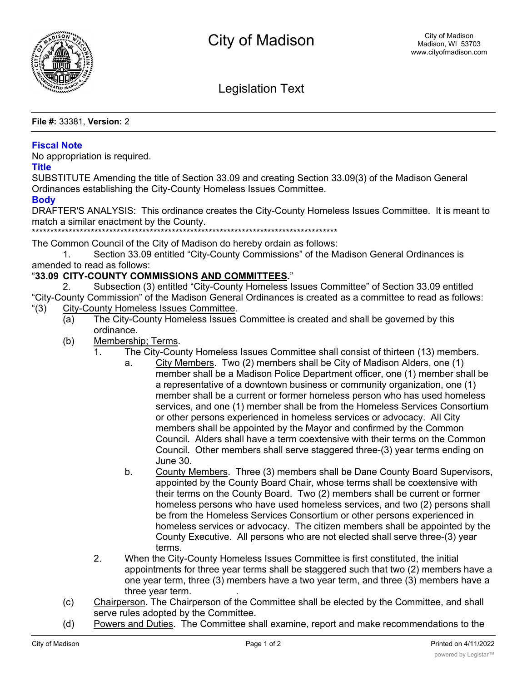

Legislation Text

**File #:** 33381, **Version:** 2

## **Fiscal Note**

No appropriation is required.

## **Title**

SUBSTITUTE Amending the title of Section 33.09 and creating Section 33.09(3) of the Madison General Ordinances establishing the City-County Homeless Issues Committee.

## **Body**

DRAFTER'S ANALYSIS: This ordinance creates the City-County Homeless Issues Committee. It is meant to match a similar enactment by the County.

\*\*\*\*\*\*\*\*\*\*\*\*\*\*\*\*\*\*\*\*\*\*\*\*\*\*\*\*\*\*\*\*\*\*\*\*\*\*\*\*\*\*\*\*\*\*\*\*\*\*\*\*\*\*\*\*\*\*\*\*\*\*\*\*\*\*\*\*\*\*\*\*\*\*\*\*\*\*\*\*\*\*\*

The Common Council of the City of Madison do hereby ordain as follows:

1. Section 33.09 entitled "City-County Commissions" of the Madison General Ordinances is amended to read as follows:

## "**33.09 CITY-COUNTY COMMISSIONS AND COMMITTEES.**"

2. Subsection (3) entitled "City-County Homeless Issues Committee" of Section 33.09 entitled "City-County Commission" of the Madison General Ordinances is created as a committee to read as follows: "(3) City-County Homeless Issues Committee.

- (a) The City-County Homeless Issues Committee is created and shall be governed by this ordinance.
- (b) Membership; Terms.
	- 1. The City-County Homeless Issues Committee shall consist of thirteen (13) members.
		- a. City Members. Two (2) members shall be City of Madison Alders, one (1) member shall be a Madison Police Department officer, one (1) member shall be a representative of a downtown business or community organization, one (1) member shall be a current or former homeless person who has used homeless services, and one (1) member shall be from the Homeless Services Consortium or other persons experienced in homeless services or advocacy. All City members shall be appointed by the Mayor and confirmed by the Common Council. Alders shall have a term coextensive with their terms on the Common Council. Other members shall serve staggered three-(3) year terms ending on June 30.
		- b. County Members. Three (3) members shall be Dane County Board Supervisors, appointed by the County Board Chair, whose terms shall be coextensive with their terms on the County Board. Two (2) members shall be current or former homeless persons who have used homeless services, and two (2) persons shall be from the Homeless Services Consortium or other persons experienced in homeless services or advocacy. The citizen members shall be appointed by the County Executive. All persons who are not elected shall serve three-(3) year terms.
	- 2. When the City-County Homeless Issues Committee is first constituted, the initial appointments for three year terms shall be staggered such that two (2) members have a one year term, three (3) members have a two year term, and three (3) members have a three year term. .
- (c) Chairperson. The Chairperson of the Committee shall be elected by the Committee, and shall serve rules adopted by the Committee.
- (d) Powers and Duties. The Committee shall examine, report and make recommendations to the